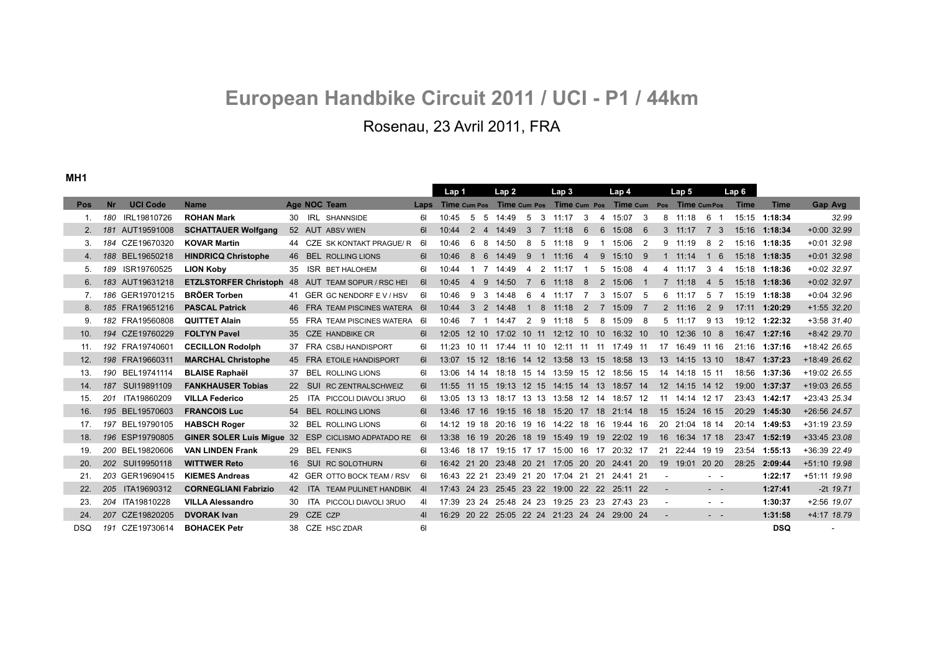# **European Handbike Circuit 2011 / UCI - P1 / 44km** Rosenau, 23 Avril 2011, FRA

**MH1**

|            |           |                 |                             |     |                                                    |                | Lap 1                                                    |                 |                | Lap 2     |                |                | Lap <sub>3</sub> |                |    | Lap 4                                        |                |            | Lap 5           |                 | Lap 6       |               |               |
|------------|-----------|-----------------|-----------------------------|-----|----------------------------------------------------|----------------|----------------------------------------------------------|-----------------|----------------|-----------|----------------|----------------|------------------|----------------|----|----------------------------------------------|----------------|------------|-----------------|-----------------|-------------|---------------|---------------|
| <b>Pos</b> | <b>Nr</b> | <b>UCI Code</b> | <b>Name</b>                 |     | Age NOC Team                                       |                | Laps Time cum Pos Time cum Pos Time cum Pos Time cum Pos |                 |                |           |                |                |                  |                |    |                                              |                |            | Time CumPos     |                 | <b>Time</b> | <b>Time</b>   | Gap Avg       |
| -1.        |           | 180 IRL19810726 | <b>ROHAN Mark</b>           | 30. | <b>IRL SHANNSIDE</b>                               | 6I             | 10:45                                                    | 5 5             |                | 14:49     | -5             |                | $3 \quad 11:17$  | 3              |    | 4 15:07 3                                    |                |            | 8 11:18         | 6<br>- 1        |             | 15:15 1:18:34 | 32.99         |
| 2.         |           | 181 AUT19591008 | <b>SCHATTAUER Wolfgang</b>  |     | 52 AUT ABSV WIEN                                   | 61             | 10:44                                                    |                 |                | 2 4 14:49 | 3              | $\overline{7}$ | 11:18            | 6              |    | $6\quad 15:08\quad 6$                        |                |            | $3 \quad 11:17$ | 7 3             | 15:16       | 1:18:34       | $+0:00$ 32.99 |
| 3.         |           | 184 CZE19670320 | <b>KOVAR Martin</b>         |     | 44 CZE SK KONTAKT PRAGUE/R                         | 61             | 10:46                                                    | 6               | -8             | 14:50     | 8              | 5              | 11:18            | 9              | -1 | 15:06                                        | $\overline{2}$ |            | 9 11:19         | 8 2             | 15:16       | 1:18:35       | $+0:01$ 32.98 |
| 4.         |           | 188 BEL19650218 | <b>HINDRICQ Christophe</b>  | 46  | <b>BEL ROLLING LIONS</b>                           | 61             | 10:46                                                    | 8 6             |                | 14:49     | 9              |                | $1 \quad 11:16$  | $\overline{4}$ |    | 9 15:10 9                                    |                |            | $1 \quad 11:14$ | 16              |             | 15:18 1:18:35 | $+0:01$ 32.98 |
| 5.         | 189       | ISR19760525     | <b>LION Koby</b>            | 35  | <b>ISR BET HALOHEM</b>                             | 61             | 10:44                                                    |                 | $\overline{7}$ | 14:49     | $\overline{4}$ |                | $2 \quad 11:17$  |                |    | 5 15:08 4                                    |                |            | 4 11:17         | 3 4             |             | 15:18 1:18:36 | $+0:02$ 32.97 |
| 6.         |           | 183 AUT19631218 |                             |     | ETZLSTORFER Christoph 48 AUT TEAM SOPUR / RSC HEI  | 61             | 10:45                                                    | $4\overline{9}$ |                | 14:50     | $\overline{7}$ | 6              | 11:18            | 8              |    | 2 15:06                                      | $\overline{1}$ |            | $7 \quad 11:18$ | $4\overline{5}$ |             | 15:18 1:18:36 | $+0:02$ 32.97 |
| 7.         |           | 186 GER19701215 | <b>BRÖER Torben</b>         |     | 41 GER GC NENDORF EV/HSV                           | 61             | 10:46                                                    | 9 3             |                | 14:48     | 6              |                | 4 11:17          | $\overline{7}$ |    | 3 15:07 5                                    |                |            | $6 \quad 11:17$ | 5 7             |             | 15:19 1:18:38 | $+0.04$ 32.96 |
| 8.         |           | 185 FRA19651216 | <b>PASCAL Patrick</b>       | 46  | FRA TEAM PISCINES WATERA                           | - 61           | 10:44                                                    | 3 <sup>2</sup>  |                | 14:48     | $\mathbf{1}$   | 8              | 11:18            | 2              |    | 7 15:09                                      | $\overline{7}$ |            | $2 \quad 11:16$ | 2 9             | 17:11       | 1:20:29       | $+1:55$ 32.20 |
| 9.         |           | 182 FRA19560808 | <b>QUITTET Alain</b>        | 55  | FRA TEAM PISCINES WATERA 61                        |                | 10:46                                                    |                 |                | 7 1 14:47 | 2              | 9              | 11:18            | 5              |    | 8 15:09 8                                    |                |            | $5 \quad 11:17$ | 9 1 3           | 19:12       | 1:22:32       | $+3:58$ 31.40 |
| 10.        |           | 194 CZE19760229 | <b>FOLTYN Pavel</b>         | 35  | <b>CZE HANDBIKE CR</b>                             | 61             | 12:05                                                    |                 |                |           |                |                |                  |                |    | 12 10 17:02 10 11 12:12 10 10 16:32 10       |                |            | 10 12:36 10 8   |                 |             | 16:47 1:27:16 | +8:42 29.70   |
| 11.        |           | 192 FRA19740601 | <b>CECILLON Rodolph</b>     | 37  | FRA CSBJ HANDISPORT                                |                | 11:23                                                    |                 |                |           |                |                |                  |                |    | 10 11 17:44 11 10 12:11 11 11 17:49 11       |                |            | 17 16:49 11 16  |                 |             | 21:16 1:37:16 | +18:42 26.65  |
| 12.        |           | 198 FRA19660311 | <b>MARCHAL Christophe</b>   |     | 45 FRA ETOILE HANDISPORT                           | 6I             | 13:07                                                    |                 |                |           |                |                |                  |                |    | 15 12 18:16 14 12 13:58 13 15 18:58 13       |                |            | 13 14:15 13 10  |                 |             | 18:47 1:37:23 | +18:49 26.62  |
| 13.        |           | 190 BEL19741114 | <b>BLAISE Raphaël</b>       | 37  | <b>BEL ROLLING LIONS</b>                           |                | 13:06                                                    | 14 14           |                |           |                |                |                  |                |    | 18:18 15 14 13:59 15 12 18:56 15             |                |            | 14 14:18 15 11  |                 | 18:56       | 1:37:36       | +19:02 26.55  |
| 14.        | 187       | SUI19891109     | <b>FANKHAUSER Tobias</b>    | 22  | SUI RC ZENTRALSCHWEIZ                              | 61             | 11:55                                                    | 11 15           |                |           |                |                |                  |                |    | 19:13 12 15 14:15 14 13 18:57 14             |                |            | 12 14:15 14 12  |                 |             | 19:00 1:37:37 | +19:03 26.55  |
| 15.        | 201       | ITA19860209     | <b>VILLA Federico</b>       |     | ITA PICCOLI DIAVOLI 3RUO                           | 61             | 13:05                                                    |                 |                |           |                |                |                  |                |    | 13 13 18:17 13 13 13:58 12 14 18:57 12       |                |            | 11 14:14 12 17  |                 |             | 23:43 1:42:17 | +23:43 25.34  |
| 16.        |           | 195 BEL19570603 | <b>FRANCOIS Luc</b>         | 54  | <b>BEL ROLLING LIONS</b>                           |                |                                                          |                 |                |           |                |                |                  |                |    | 13:46 17 16 19:15 16 18 15:20 17 18 21:14 18 |                |            | 15 15:24 16 15  |                 |             | 20:29 1:45:30 | +26:56 24.57  |
| 17.        |           | 197 BEL19790105 | <b>HABSCH Roger</b>         |     | 32 BEL ROLLING LIONS                               | 61             |                                                          |                 |                |           |                |                |                  |                |    | 14:12 19 18 20:16 19 16 14:22 18 16 19:44 16 |                |            | 20 21:04 18 14  |                 |             | 20:14 1:49:53 | +31:19 23.59  |
| 18.        |           | 196 ESP19790805 |                             |     | GINER SOLER Luis Migue 32 ESP CICLISMO ADPATADO RE | 61             | 13:38                                                    | 16 19           |                |           |                |                |                  |                |    | 20:26 18 19 15:49 19 19 22:02 19             |                | 16         | 16:34 17 18     |                 | 23:47       | 1:52:19       | +33:45 23.08  |
| 19.        |           | 200 BEL19820606 | <b>VAN LINDEN Frank</b>     | 29  | <b>BEL FENIKS</b>                                  | 61             | 13:46                                                    | 18 17           |                |           |                |                |                  |                |    | 19:15 17 17 15:00 16 17 20:32 17             |                |            | 21 22:44 19 19  |                 | 23:54       | 1:55:13       | +36:39 22.49  |
| 20.        |           | 202 SUI19950118 | <b>WITTWER Reto</b>         | 16  | <b>SUI RC SOLOTHURN</b>                            | 61             | 16:42 21                                                 |                 | 20             |           |                |                |                  |                |    | 23:48 20 21 17:05 20 20 24:41 20             |                |            | 19 19:01 20 20  |                 | 28:25       | 2:09:44       | +51:10 19.98  |
| 21.        |           | 203 GER19690415 | <b>KIEMES Andreas</b>       |     | 42 GER OTTO BOCK TEAM / RSV                        | 61             |                                                          |                 |                |           |                |                |                  |                |    | 16:43 22 21 23:49 21 20 17:04 21 21 24:41 21 |                |            |                 | $\sim$ $ \sim$  |             | 1:22:17       | +51:11 19.98  |
| 22.        |           | 205 ITA19690312 | <b>CORNEGLIANI Fabrizio</b> |     | 42 ITA TEAM PULINET HANDBIK                        | 41             |                                                          |                 |                |           |                |                |                  |                |    | 17:43 24 23 25:45 23 22 19:00 22 22 25:11 22 |                |            |                 | $\sim$ $ -$     |             | 1:27:41       | $-2t$ 19.71   |
| 23.        |           | 204 ITA19810228 | <b>VILLA Alessandro</b>     |     | ITA PICCOLI DIAVOLI 3RUO                           | 41             | 17:39                                                    | 23 24           |                |           |                |                |                  |                |    | 25:48 24 23 19:25 23 23 27:43 23             |                |            |                 | $\sim$ $ \sim$  |             | 1:30:37       | $+2:56$ 19.07 |
| 24.        |           | 207 CZE19820205 | <b>DVORAK Ivan</b>          |     | 29 CZE CZP                                         | 4 <sup>1</sup> |                                                          |                 |                |           |                |                |                  |                |    | 16:29 20 22 25:05 22 24 21:23 24 24 29:00 24 |                | $\sim$ $-$ |                 | $\sim$ $ \sim$  |             | 1:31:58       | $+4:17$ 18.79 |
| <b>DSQ</b> |           | 191 CZE19730614 | <b>BOHACEK Petr</b>         |     | 38 CZE HSC ZDAR                                    | 61             |                                                          |                 |                |           |                |                |                  |                |    |                                              |                |            |                 |                 |             | <b>DSQ</b>    |               |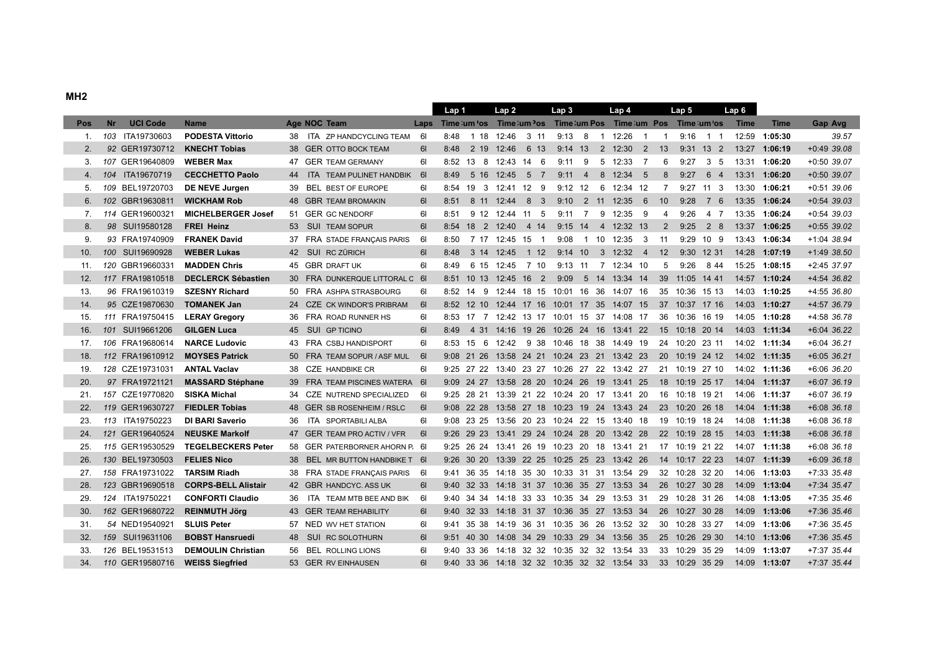|     |           |                 |                            |     |                                 |           | Lap 1 |                      | Lap 2 |                 | Lap <sub>3</sub>                                                      |           | Lap 4                              |                |                | Lap 5          |             | Lap 6 |               |               |
|-----|-----------|-----------------|----------------------------|-----|---------------------------------|-----------|-------|----------------------|-------|-----------------|-----------------------------------------------------------------------|-----------|------------------------------------|----------------|----------------|----------------|-------------|-------|---------------|---------------|
| Pos | <b>Nr</b> | <b>UCI Code</b> | <b>Name</b>                |     | Age NOC Team                    |           |       |                      |       |                 | Laps Time: um 'os Time: um 'os Time: um Pos Time: um Pos Time: um 'os |           |                                    |                |                |                |             | Time  | <b>Time</b>   | Gap Avg       |
| 1.  |           | 103 ITA19730603 | <b>PODESTA Vittorio</b>    |     | 38 ITA ZP HANDCYCLING TEAM      | 61        | 8:48  |                      |       | 1 18 12:46 3 11 |                                                                       |           | $9:13 \quad 8 \quad 1 \quad 12:26$ | $\overline{1}$ | $\overline{1}$ | $9:16$ 1 1     |             | 12:59 | 1:05:30       | 39.57         |
| 2.  |           | 92 GER19730712  | <b>KNECHT Tobias</b>       |     | <b>GER OTTO BOCK TEAM</b>       | 61        | 8:48  | 2 19                 |       | 12:46 6 13      |                                                                       |           | $9:14$ 13 2 12:30 2                |                | 13             |                | $9:31$ 13 2 |       | 13:27 1:06:19 | $+0:49$ 39.08 |
| 3.  |           | 107 GER19640809 | <b>WEBER Max</b>           |     | 47 GER TEAM GERMANY             | 61        |       | 8:52 13 8 12:43 14 6 |       |                 | 9:11                                                                  | 9         | 5 12:33                            | $\overline{7}$ | 6              | 9:27           | 3 5         |       | 13:31 1:06:20 | $+0:50$ 39.07 |
| 4.  |           | 104 ITA19670719 | <b>CECCHETTO Paolo</b>     | 44  | ITA TEAM PULINET HANDBIK        | <b>61</b> | 8:49  | 5 16                 |       | 12:45 5 7       |                                                                       |           | 9:11  4  8  12:34  5               |                | 8              | 9:27           | 6 4         |       | 13:31 1:06:20 | $+0:50$ 39.07 |
| 5.  |           | 109 BEL19720703 | DE NEVE Jurgen             | 39  | <b>BEL BEST OF EUROPE</b>       | 61        | 8:54  | 19 3                 |       | 12:41 12 9      |                                                                       | $9:12$ 12 | 6 12:34 12                         |                | 7              |                | $9:27$ 11 3 | 13:30 | 1:06:21       | $+0:51$ 39.06 |
| 6.  |           | 102 GBR19630811 | <b>WICKHAM Rob</b>         | 48  | <b>GBR TEAM BROMAKIN</b>        | 61        | 8:51  | 8 11                 |       | $12:44$ 8 3     |                                                                       |           | 9:10 2 11 12:35 6                  |                | 10             |                | $9:28$ 7 6  |       | 13:35 1:06:24 | $+0:54$ 39.03 |
| 7.  |           | 114 GER19600321 | <b>MICHELBERGER Josef</b>  | 51  | <b>GER GC NENDORF</b>           | 61        | 8:51  |                      |       | 9 12 12:44 11 5 | 9:11                                                                  | 7         | 9 12:35                            | - 9            | 4              | 9:26           | 47          | 13:35 | 1:06:24       | $+0:54$ 39.03 |
| 8.  |           | 98 SUI19580128  | <b>FREI Heinz</b>          | 53  | <b>SUI TEAM SOPUR</b>           | 61        |       | 8:54 18 2 12:40 4 14 |       |                 | 9:15                                                                  |           | 14 4 12:32 13                      |                | $\overline{2}$ | 9:25           | 2 8         | 13:37 | 1:06:25       | $+0:55$ 39.02 |
| 9.  |           | 93 FRA19740909  | <b>FRANEK David</b>        | 37  | FRA STADE FRANÇAIS PARIS        | 61        | 8:50  |                      |       | 7 17 12:45 15 1 | 9:08                                                                  |           | 1 10 12:35                         | - 3            | 11             | 9:29 10 9      |             |       | 13:43 1:06:34 | +1:04 38.94   |
| 10. |           | 100 SUI19690928 | <b>WEBER Lukas</b>         | 42  | SUI RC ZÜRICH                   | 6I        | 8:48  | 3 14                 | 12:45 | $1 12$          |                                                                       | 9:14 10   | 3 12:32 4                          |                | 12             | 9:30 12 31     |             |       | 14:28 1:07:19 | +1:49 38.50   |
| 11. |           | 120 GBR19660331 | <b>MADDEN Chris</b>        | 45  | <b>GBR DRAFT UK</b>             | 61        | 8:49  | 6 15                 | 12:45 | 7 10            |                                                                       | $9:13$ 11 | 7 12:34 10                         |                | 5              | 9:26           | 844         | 15:25 | 1:08:15       | $+2:45$ 37.97 |
| 12. |           | 117 FRA19810518 | <b>DECLERCK Sébastien</b>  | 30  | FRA DUNKERQUE LITTORAL C 61     |           |       |                      |       |                 | 8:51 10 13 12:45 16 2 9:09                                            |           | 5 14 13:34 14                      |                | 39             | 11:05 14 41    |             |       | 14:57 1:10:24 | +4:54 36.82   |
| 13. |           | 96 FRA19610319  | <b>SZESNY Richard</b>      | 50  | FRA ASHPA STRASBOURG            | 61        |       | 8:52 14 9            |       |                 | 12:44 18 15 10:01 16 36 14:07 16                                      |           |                                    |                |                | 35 10:36 15 13 |             |       | 14:03 1:10:25 | +4:55 36.80   |
| 14. |           | 95 CZE19870630  | <b>TOMANEK Jan</b>         |     | CZE CK WINDOR'S PRIBRAM         | 61        |       |                      |       |                 | 8:52 12 10 12:44 17 16 10:01 17 35 14:07 15                           |           |                                    |                |                | 37 10:37 17 16 |             |       | 14:03 1:10:27 | +4:57 36.79   |
| 15. |           | 111 FRA19750415 | <b>LERAY Gregory</b>       | 36  | FRA ROAD RUNNER HS              | 61        |       |                      |       |                 | 8:53 17 7 12:42 13 17 10:01 15 37 14:08 17                            |           |                                    |                |                | 36 10:36 16 19 |             |       | 14:05 1:10:28 | +4:58 36.78   |
| 16. |           | 101 SUI19661206 | <b>GILGEN Luca</b>         | 45  | <b>SUI GP TICINO</b>            | 61        | 8:49  |                      |       |                 | 4 31 14:16 19 26 10:26 24 16 13:41 22                                 |           |                                    |                |                | 15 10:18 20 14 |             |       | 14:03 1:11:34 | +6:04 36.22   |
| 17. |           | 106 FRA19680614 | <b>NARCE Ludovic</b>       | 43  | FRA CSBJ HANDISPORT             | 61        |       | $8:53$ 15 6          |       |                 | 12:42 9 38 10:46 18 38 14:49 19                                       |           |                                    |                |                | 24 10:20 23 11 |             |       | 14:02 1:11:34 | $+6:04$ 36.21 |
| 18. |           | 112 FRA19610912 | <b>MOYSES Patrick</b>      | 50  | FRA TEAM SOPUR / ASF MUL        | <b>61</b> |       |                      |       |                 | 9:08 21 26 13:58 24 21 10:24 23 21 13:42 23                           |           |                                    |                |                | 20 10:19 24 12 |             |       | 14:02 1:11:35 | $+6:05$ 36.21 |
| 19. |           | 128 CZE19731031 | <b>ANTAL Vaclav</b>        | 38  | <b>CZE HANDBIKE CR</b>          | 61        |       |                      |       |                 | 9:25 27 22 13:40 23 27 10:26 27 22 13:42 27                           |           |                                    |                |                | 21 10:19 27 10 |             |       | 14:02 1:11:36 | +6:06 36.20   |
| 20. |           | 97 FRA19721121  | <b>MASSARD Stéphane</b>    | 39  | FRA TEAM PISCINES WATERA 61     |           |       |                      |       |                 | 9:09 24 27 13:58 28 20 10:24 26 19 13:41 25                           |           |                                    |                |                | 18 10:19 25 17 |             |       | 14:04 1:11:37 | $+6:07$ 36.19 |
| 21. |           | 157 CZE19770820 | <b>SISKA Michal</b>        | 34  | CZE NUTREND SPECIALIZED         | - 61      |       |                      |       |                 | 9:25 28 21 13:39 21 22 10:24 20 17 13:41 20                           |           |                                    |                |                | 16 10:18 19 21 |             |       | 14:06 1:11:37 | +6:07 36.19   |
| 22. |           | 119 GER19630727 | <b>FIEDLER Tobias</b>      | 48  | <b>GER SB ROSENHEIM / RSLC</b>  | 61        |       |                      |       |                 | 9:08 22 28 13:58 27 18 10:23 19 24 13:43 24                           |           |                                    |                |                | 23 10:20 26 18 |             |       | 14:04 1:11:38 | +6:08 36.18   |
| 23. |           | 113 ITA19750223 | <b>DI BARI Saverio</b>     | 36  | <b>ITA SPORTABILI ALBA</b>      | 61        |       |                      |       |                 | 9:08 23 25 13:56 20 23 10:24 22 15 13:40 18                           |           |                                    |                |                | 19 10:19 18 24 |             |       | 14:08 1:11:38 | $+6:08$ 36.18 |
| 24. |           | 121 GER19640524 | <b>NEUSKE Markolf</b>      | 47  | <b>GER TEAM PRO ACTIV / VFR</b> | 61        |       |                      |       |                 | 9:26 29 23 13:41 29 24 10:24 28 20 13:42 28                           |           |                                    |                |                | 22 10:19 28 15 |             |       | 14:03 1:11:38 | $+6:08$ 36.18 |
| 25. |           | 115 GER19530529 | <b>TEGELBECKERS Peter</b>  | 58  | GER PATERBORNER AHORN P. 61     |           |       |                      |       |                 | 9:25 26 24 13:41 26 19 10:23 20 18 13:41 21                           |           |                                    |                |                | 17 10:19 21 22 |             |       | 14:07 1:11:38 | $+6:08$ 36.18 |
| 26. |           | 130 BEL19730503 | <b>FELIES Nico</b>         |     | BEL MR BUTTON HANDBIKE T 6I     |           |       |                      |       |                 | 9:26 30 20 13:39 22 25 10:25 25 23 13:42 26                           |           |                                    |                |                | 14 10:17 22 23 |             |       | 14:07 1:11:39 | $+6:09$ 36.18 |
| 27. |           | 158 FRA19731022 | <b>TARSIM Riadh</b>        | 38  | FRA STADE FRANÇAIS PARIS        | - 61      |       |                      |       |                 | 9:41 36 35 14:18 35 30 10:33 31 31 13:54 29                           |           |                                    |                |                | 32 10:28 32 20 |             |       | 14:06 1:13:03 | +7:33 35.48   |
| 28. |           | 123 GBR19690518 | <b>CORPS-BELL Alistair</b> |     | 42 GBR HANDCYC. ASS UK          | 61        |       |                      |       |                 | 9:40 32 33 14:18 31 37 10:36 35 27 13:53 34                           |           |                                    |                |                | 26 10:27 30 28 |             |       | 14:09 1:13:04 | $+7:34$ 35.47 |
| 29. |           | 124 ITA19750221 | <b>CONFORTI Claudio</b>    | 36  | ITA TEAM MTB BEE AND BIK        | 61        |       |                      |       |                 | 9:40 34 34 14:18 33 33 10:35 34 29 13:53 31                           |           |                                    |                |                | 29 10:28 31 26 |             |       | 14:08 1:13:05 | $+7:35$ 35.46 |
| 30. |           | 162 GER19680722 | <b>REINMUTH Jörg</b>       | 43  | <b>GER TEAM REHABILITY</b>      | 61        |       | $9:40$ 32 33         |       |                 | 14:18 31 37 10:36 35 27 13:53 34                                      |           |                                    |                |                | 26 10:27 30 28 |             | 14:09 | 1:13:06       | +7:36 35.46   |
| 31. |           | 54 NED19540921  | <b>SLUIS Peter</b>         | 57  | NED WV HET STATION              | 61        | 9:41  |                      |       |                 | 35 38 14:19 36 31 10:35 36 26 13:52 32                                |           |                                    |                | 30             | 10:28 33 27    |             | 14:09 | 1:13:06       | $+7:36$ 35.45 |
| 32. |           | 159 SUI19631106 | <b>BOBST Hansruedi</b>     | 48  | <b>SUI RC SOLOTHURN</b>         | 61        | 9:51  | 40 30                |       |                 | 14:08 34 29 10:33 29 34 13:56 35                                      |           |                                    |                | 25             | 10:26 29 30    |             |       | 14:10 1:13:06 | +7:36 35.45   |
| 33. |           | 126 BEL19531513 | <b>DEMOULIN Christian</b>  | 56  | <b>BEL ROLLING LIONS</b>        | 61        | 9:40  |                      |       |                 | 33 36 14:18 32 32 10:35 32 32 13:54 33                                |           |                                    |                |                | 33 10:29       | 35 29       | 14:09 | 1:13:07       | +7:37 35.44   |
| 34. |           | 110 GER19580716 | <b>WEISS Siegfried</b>     | 53. | <b>GER RV EINHAUSEN</b>         | 61        |       |                      |       |                 | 9:40 33 36 14:18 32 32 10:35 32 32 13:54 33                           |           |                                    |                |                | 33 10:29 35 29 |             |       | 14:09 1:13:07 | +7:37 35.44   |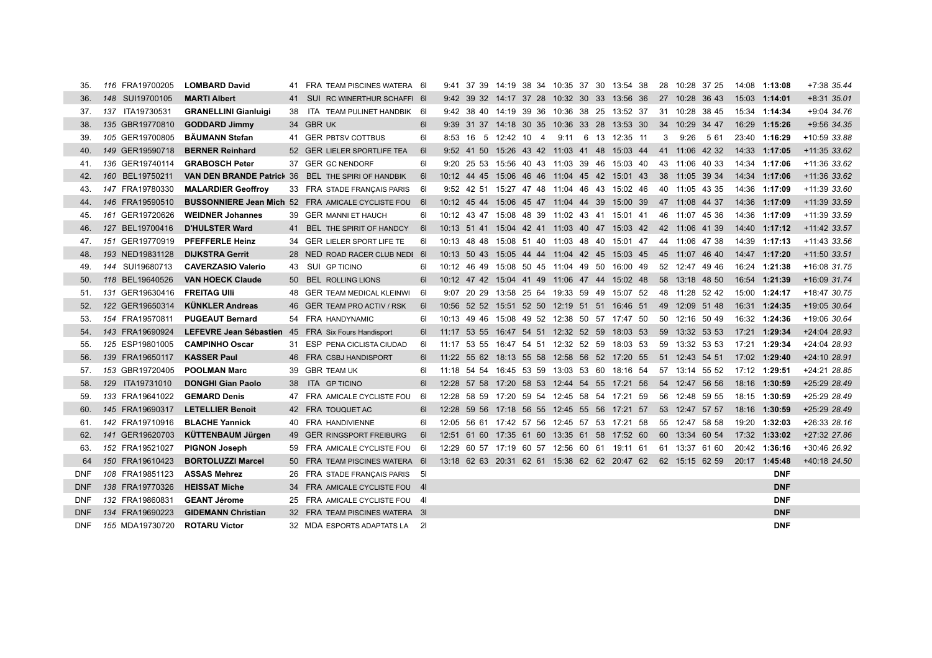| 35.        | 116 FRA19700205 | <b>LOMBARD David</b>             | 41 | FRA TEAM PISCINES WATERA 61                                 |           | 9:41 37 39 14:19 38 34 10:35 37 30 13:54 38                 |  |  |  |  | 28 10:28 37 25 | 14:08 1:13:08 | +7:38 35.44    |
|------------|-----------------|----------------------------------|----|-------------------------------------------------------------|-----------|-------------------------------------------------------------|--|--|--|--|----------------|---------------|----------------|
| 36.        | 148 SUI19700105 | <b>MARTI Albert</b>              | 41 | SUI RC WINERTHUR SCHAFFI 6I                                 |           | 9:42 39 32 14:17 37 28 10:32 30 33 13:56 36 27 10:28 36 43  |  |  |  |  |                | 15:03 1:14:01 | $+8:31$ 35.01  |
| 37.        | 137 ITA19730531 | <b>GRANELLINI Gianluigi</b>      | 38 | ITA TEAM PULINET HANDBIK 6I                                 |           | 9:42 38 40 14:19 39 36 10:36 38 25 13:52 37                 |  |  |  |  | 31 10:28 38 45 | 15:34 1:14:34 | +9:04 34.76    |
| 38.        | 135 GBR19770810 | <b>GODDARD Jimmy</b>             |    | 34 GBR UK                                                   | -61       | 9:39 31 37 14:18 30 35 10:36 33 28 13:53 30                 |  |  |  |  | 34 10:29 34 47 | 16:29 1:15:26 | $+9:56$ 34.35  |
| 39.        | 105 GER19700805 | <b>BÄUMANN Stefan</b>            |    | 41 GER PBTSV COTTBUS                                        | -61       | 8:53 16 5 12:42 10 4 9:11 6 13 12:35 11                     |  |  |  |  | 3 9:26 5 61    | 23:40 1:16:29 | +10:59 33.88   |
| 40.        | 149 GER19590718 | <b>BERNER Reinhard</b>           |    | 52 GER LIELER SPORTLIFE TEA                                 | <b>61</b> | 9:52 41 50 15:26 43 42 11:03 41 48 15:03 44                 |  |  |  |  | 41 11:06 42 32 | 14:33 1:17:05 | $+11:35$ 33.62 |
| 41.        | 136 GER19740114 | <b>GRABOSCH Peter</b>            |    | 37 GER GC NENDORF                                           | 61        | 9:20 25 53 15:56 40 43 11:03 39 46 15:03 40                 |  |  |  |  | 43 11:06 40 33 | 14:34 1:17:06 | +11:36 33.62   |
| 42.        | 160 BEL19750211 | <b>VAN DEN BRANDE Patrick 36</b> |    | <b>BEL THE SPIRI OF HANDBIK</b>                             | - 61      | 10:12 44 45 15:06 46 46 11:04 45 42 15:01 43                |  |  |  |  | 38 11:05 39 34 | 14:34 1:17:06 | $+11:36$ 33.62 |
| 43.        | 147 FRA19780330 | <b>MALARDIER Geoffroy</b>        |    | 33 FRA STADE FRANCAIS PARIS                                 | - 61      | 9:52 42 51 15:27 47 48 11:04 46 43 15:02 46                 |  |  |  |  | 40 11:05 43 35 | 14:36 1:17:09 | +11:39 33.60   |
| 44.        | 146 FRA19590510 |                                  |    | <b>BUSSONNIERE Jean Mich 52 FRA AMICALE CYCLISTE FOU 61</b> |           | 10:12 45 44 15:06 45 47 11:04 44 39 15:00 39                |  |  |  |  | 47 11:08 44 37 | 14:36 1:17:09 | $+11:39$ 33.59 |
| 45.        | 161 GER19720626 | <b>WEIDNER Johannes</b>          |    | 39 GER MANNI ET HAUCH                                       | 61        | 10:12 43 47 15:08 48 39 11:02 43 41 15:01 41                |  |  |  |  | 46 11:07 45 36 | 14:36 1:17:09 | +11:39 33.59   |
| 46.        | 127 BEL19700416 | <b>D'HULSTER Ward</b>            |    | 41 BEL THE SPIRIT OF HANDCY                                 | 61        | 10:13 51 41 15:04 42 41 11:03 40 47 15:03 42                |  |  |  |  | 42 11:06 41 39 | 14:40 1:17:12 | +11:42 33.57   |
| 47.        | 151 GER19770919 | <b>PFEFFERLE Heinz</b>           | 34 | <b>GER LIELER SPORT LIFE TE</b>                             | -61       | 10:13 48 48 15:08 51 40 11:03 48 40 15:01 47                |  |  |  |  | 44 11:06 47 38 | 14:39 1:17:13 | +11:43 33.56   |
| 48.        | 193 NED19831128 | <b>DIJKSTRA Gerrit</b>           |    | 28 NED ROAD RACER CLUB NEDI 6                               |           | 10:13 50 43 15:05 44 44 11:04 42 45 15:03 45 45 11:07 46 40 |  |  |  |  |                | 14:47 1:17:20 | +11:50 33.51   |
| 49.        | 144 SUI19680713 | <b>CAVERZASIO Valerio</b>        | 43 | <b>SUI GP TICINO</b>                                        | 61        | 10:12 46 49 15:08 50 45 11:04 49 50 16:00 49                |  |  |  |  | 52 12:47 49 46 | 16:24 1:21:38 | +16:08 31.75   |
| 50.        | 118 BEL19640526 | <b>VAN HOECK Claude</b>          |    | 50 BEL ROLLING LIONS                                        | -61       | 10:12 47 42 15:04 41 49 11:06 47 44 15:02 48                |  |  |  |  | 58 13:18 48 50 | 16:54 1:21:39 | +16:09 31.74   |
| 51.        | 131 GER19630416 | <b>FREITAG UIII</b>              | 48 | <b>GER TEAM MEDICAL KLEINWI</b>                             | - 61      | 9:07 20 29 13:58 25 64 19:33 59 49 15:07 52                 |  |  |  |  | 48 11:28 52 42 | 15:00 1:24:17 | +18:47 30.75   |
| 52.        | 122 GER19650314 | <b>KÜNKLER Andreas</b>           |    | 46 GER TEAM PRO ACTIV / RSK                                 | <b>61</b> | 10:56 52 52 15:51 52 50 12:19 51 51 16:46 51                |  |  |  |  | 49 12:09 51 48 | 16:31 1:24:35 | +19:05 30.64   |
| 53.        | 154 FRA19570811 | <b>PUGEAUT Bernard</b>           | 54 | FRA HANDYNAMIC                                              | 61        | 10:13 49 46 15:08 49 52 12:38 50 57 17:47 50                |  |  |  |  | 50 12:16 50 49 | 16:32 1:24:36 | +19:06 30.64   |
| 54.        | 143 FRA19690924 | LEFEVRE Jean Sébastien 45        |    | FRA Six Fours Handisport                                    | <b>61</b> | 11:17 53 55 16:47 54 51 12:32 52 59 18:03 53                |  |  |  |  | 59 13:32 53 53 | 17:21 1:29:34 | +24:04 28.93   |
| 55.        | 125 ESP19801005 | <b>CAMPINHO Oscar</b>            |    | 31 ESP PENA CICLISTA CIUDAD                                 | 61        | 11:17 53 55 16:47 54 51 12:32 52 59 18:03 53                |  |  |  |  | 59 13:32 53 53 | 17:21 1:29:34 | +24:04 28.93   |
| 56.        | 139 FRA19650117 | <b>KASSER Paul</b>               | 46 | FRA CSBJ HANDISPORT                                         | 6I        | 11:22 55 62 18:13 55 58 12:58 56 52 17:20 55                |  |  |  |  | 51 12:43 54 51 | 17:02 1:29:40 | $+24:10$ 28.91 |
| 57.        | 153 GBR19720405 | <b>POOLMAN Marc</b>              | 39 | <b>GBR TEAM UK</b>                                          | 61        | 11:18 54 54 16:45 53 59 13:03 53 60 18:16 54                |  |  |  |  | 57 13:14 55 52 | 17:12 1:29:51 | +24:21 28.85   |
| 58.        | 129 ITA19731010 | <b>DONGHI Gian Paolo</b>         | 38 | <b>ITA GP TICINO</b>                                        | 6I        | 12:28 57 58 17:20 58 53 12:44 54 55 17:21 56                |  |  |  |  | 54 12:47 56 56 | 18:16 1:30:59 | +25:29 28.49   |
| 59.        | 133 FRA19641022 | <b>GEMARD Denis</b>              | 47 | FRA AMICALE CYCLISTE FOU                                    | - 61      | 12:28 58 59 17:20 59 54 12:45 58 54 17:21 59                |  |  |  |  | 56 12:48 59 55 | 18:15 1:30:59 | +25:29 28.49   |
| 60.        | 145 FRA19690317 | <b>LETELLIER Benoit</b>          |    | 42 FRA TOUQUET AC                                           | <b>61</b> | 12:28 59 56 17:18 56 55 12:45 55 56 17:21 57                |  |  |  |  | 53 12:47 57 57 | 18:16 1:30:59 | +25:29 28.49   |
| 61.        | 142 FRA19710916 | <b>BLACHE Yannick</b>            | 40 | FRA HANDIVIENNE                                             | 61        | 12:05 56 61 17:42 57 56 12:45 57 53 17:21 58                |  |  |  |  | 55 12:47 58 58 | 19:20 1:32:03 | +26:33 28.16   |
| 62.        | 141 GER19620703 | <b>KÜTTENBAUM Jürgen</b>         | 49 | <b>GER RINGSPORT FREIBURG</b>                               | 61        | 12:51 61 60 17:35 61 60 13:35 61 58 17:52 60                |  |  |  |  | 60 13:34 60 54 | 17:32 1:33:02 | +27:32 27.86   |
| 63.        | 152 FRA19521027 | <b>PIGNON Joseph</b>             | 59 | FRA AMICALE CYCLISTE FOU 61                                 |           | 12:29 60 57 17:19 60 57 12:56 60 61 19:11 61                |  |  |  |  | 61 13:37 61 60 | 20:42 1:36:16 | +30:46 26.92   |
| 64         | 150 FRA19610423 | <b>BORTOLUZZI Marcel</b>         |    | 50 FRA TEAM PISCINES WATERA 6                               |           | 13:18 62 63 20:31 62 61 15:38 62 62 20:47 62 62 15:15 62 59 |  |  |  |  |                | 20:17 1:45:48 | +40:18 24.50   |
| <b>DNF</b> | 108 FRA19851123 | <b>ASSAS Mehrez</b>              |    | 26 FRA STADE FRANÇAIS PARIS 51                              |           |                                                             |  |  |  |  |                | <b>DNF</b>    |                |
| <b>DNF</b> | 138 FRA19770326 | <b>HEISSAT Miche</b>             | 34 | FRA AMICALE CYCLISTE FOU 41                                 |           |                                                             |  |  |  |  |                | <b>DNF</b>    |                |
| <b>DNF</b> | 132 FRA19860831 | <b>GEANT Jérome</b>              | 25 | FRA AMICALE CYCLISTE FOU 41                                 |           |                                                             |  |  |  |  |                | <b>DNF</b>    |                |
| <b>DNF</b> | 134 FRA19690223 | <b>GIDEMANN Christian</b>        |    | 32 FRA TEAM PISCINES WATERA 31                              |           |                                                             |  |  |  |  |                | <b>DNF</b>    |                |
| <b>DNF</b> | 155 MDA19730720 | <b>ROTARU Victor</b>             |    | 32 MDA ESPORTS ADAPTATS LA 21                               |           |                                                             |  |  |  |  |                | <b>DNF</b>    |                |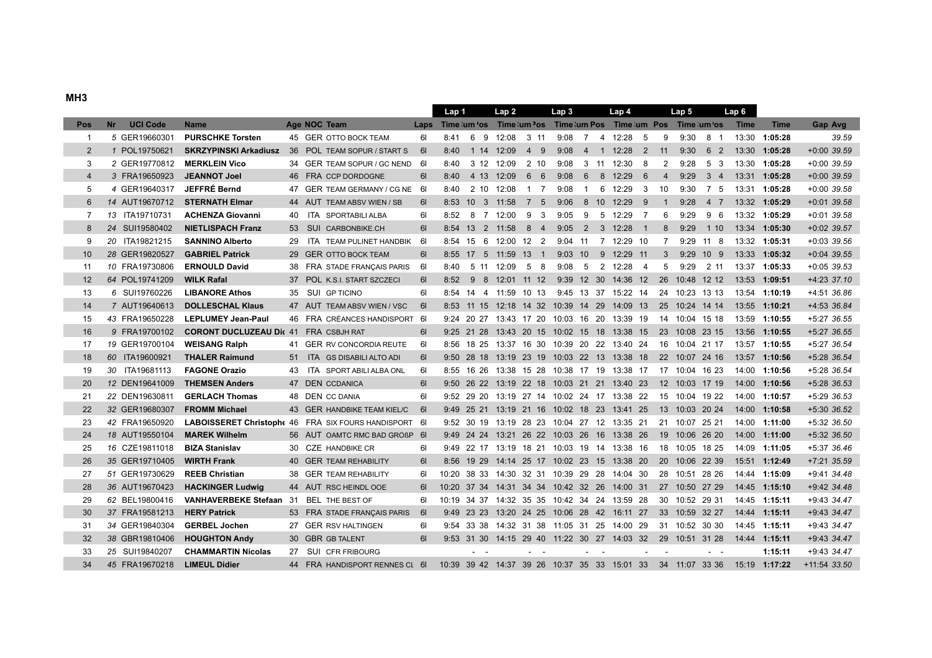| MH <sub>3</sub> |                              |                                              |    |                                                          |           |       |               |                       |                              |                                                                  |                |        |                     |                |                |                  |                |             |               |               |
|-----------------|------------------------------|----------------------------------------------|----|----------------------------------------------------------|-----------|-------|---------------|-----------------------|------------------------------|------------------------------------------------------------------|----------------|--------|---------------------|----------------|----------------|------------------|----------------|-------------|---------------|---------------|
|                 |                              |                                              |    |                                                          |           | Lap 1 |               | Lap <sub>2</sub>      |                              | Lap <sub>3</sub>                                                 |                |        | Lap 4               |                |                | Lap <sub>5</sub> |                | Lap 6       |               |               |
| Pos             | <b>UCI Code</b><br><b>Nr</b> | <b>Name</b>                                  |    | Age NOC Team                                             | Laps      |       |               |                       |                              | Time: um 'os Time: um 'os Time: um Pos Time: um Pos Time: um 'os |                |        |                     |                |                |                  |                | <b>Time</b> | <b>Time</b>   | Gap Avg       |
| $\overline{1}$  | 5 GER19660301                | <b>PURSCHKE Torsten</b>                      |    | 45 GER OTTO BOCK TEAM                                    | 61        | 8:41  | 69            | 12:08                 | 3 11                         |                                                                  |                |        | 9:08 7 4 12:28      | 5              | 9              | 9:30             | 8 1            |             | 13:30 1:05:28 | 39.59         |
| $\overline{2}$  | 1 POL19750621                |                                              |    | <b>SKRZYPINSKI Arkadiusz</b> 36 POL TEAM SOPUR / START S | <b>61</b> | 8:40  |               | 1 14 12:09            | 4 9                          | 9:08                                                             |                |        | 4 1 12:28 2         |                | 11             | 9:30             | 6 2            |             | 13:30 1:05:28 | $+0:00$ 39.59 |
| 3               | 2 GER19770812                | <b>MERKLEIN Vico</b>                         |    | 34 GER TEAM SOPUR / GC NEND 6                            |           | 8:40  |               | 3 12 12:09            | 2 10                         | 9:08                                                             |                |        | 3 11 12:30          | 8              | 2              | 9:28             | 5 <sub>3</sub> |             | 13:30 1:05:28 | $+0:00$ 39.59 |
| $\overline{4}$  | 3 FRA19650923                | <b>JEANNOT Joel</b>                          |    | 46 FRA CCP DORDOGNE                                      | 61        | 8:40  |               | 4 13 12:09            | 6 6                          | 9:08                                                             |                |        | 6 8 12:29           | 6              | $\overline{4}$ | 9:29             | $3 \quad 4$    |             | 13:31 1:05:28 | $+0:00$ 39.59 |
| 5               | 4 GER19640317                | <b>JEFFRÉ Bernd</b>                          | 47 | GER TEAM GERMANY / CG NE 6                               |           | 8:40  |               | 2 10 12:08            | 1 7                          | 9:08                                                             | $\overline{1}$ |        | 6 12:29             | 3              | 10             | 9:30             | 7 5            |             | 13:31 1:05:28 | $+0:00$ 39.58 |
| 6               | 14 AUT19670712               | <b>STERNATH Elmar</b>                        |    | 44 AUT TEAM ABSV WIEN / SB                               | <b>61</b> |       |               | 8:53 10 3 11:58 7 5   |                              | 9:06                                                             |                |        | 8 10 12:29          | 9              | $\overline{1}$ | 9:28             | 4 7            |             | 13:32 1:05:29 | $+0:01$ 39.58 |
| $\overline{7}$  | 13 ITA19710731               | <b>ACHENZA Giovanni</b>                      | 40 | ITA SPORTABILI ALBA                                      | 61        | 8:52  |               | 8 7 12:00             | 9<br>$\overline{\mathbf{3}}$ | 9:05                                                             | 9              |        | 5 12:29             | $\overline{7}$ | 6              | 9:29             | 9 6            |             | 13:32 1:05:29 | $+0:01$ 39.58 |
| 8               | 24 SUI19580402               | <b>NIETLISPACH Franz</b>                     |    | 53 SUI CARBONBIKE.CH                                     | 61        |       |               | 8:54 13 2 11:58 8 4   |                              | 9:05                                                             |                |        | 2 3 12:28           | $\overline{1}$ | 8              | 9:29             | 1 10           |             | 13:34 1:05:30 | $+0:02$ 39.57 |
| 9               | 20 ITA19821215               | <b>SANNINO Alberto</b>                       | 29 | ITA TEAM PULINET HANDBIK 6I                              |           |       |               | 8:54 15 6 12:00 12 2  |                              | $9:04$ 11                                                        |                |        | 7 12:29 10          |                | 7              |                  | 9:29 11 8      |             | 13:32 1:05:31 | $+0.03$ 39.56 |
| 10              | 28 GER19820527               | <b>GABRIEL Patrick</b>                       |    | 29 GER OTTO BOCK TEAM                                    | 61        |       |               | 8:55 17 5 11:59 13 1  |                              |                                                                  |                |        | 9:03 10 9 12:29 11  |                | 3              |                  | 9:29 10 9      |             | 13:33 1:05:32 | $+0:04$ 39.55 |
| 11              | 10 FRA19730806               | <b>ERNOULD David</b>                         |    | 38 FRA STADE FRANÇAIS PARIS                              | 6I        | 8:40  |               | 5 11 12:09            | 5 8                          | 9:08                                                             |                |        | 5 2 12:28           | $\overline{4}$ | 5              | 9:29             | 2 11           |             | 13:37 1:05:33 | $+0:05$ 39.53 |
| 12              | 64 POL19741209               | <b>WILK Rafal</b>                            |    | 37 POL K.S.I. START SZCZECI                              | 61        |       |               |                       |                              | 8:52 9 8 12:01 11 12 9:39 12 30 14:36 12                         |                |        |                     |                |                | 26 10:48 12 12   |                |             | 13:53 1:09:51 | $+4:23$ 37.10 |
| 13              | 6 SUI19760226                | <b>LIBANORE Athos</b>                        |    | 35 SUI GP TICINO                                         | 61        |       |               | 8:54 14 4 11:59 10 13 |                              |                                                                  |                |        | 9:45 13 37 15:22 14 |                |                | 24 10:23 13 13   |                |             | 13:54 1:10:19 | +4:51 36.86   |
| 14              | 7 AUT19640613                | <b>DOLLESCHAL Klaus</b>                      |    | 47 AUT TEAM ABSV WIEN / VSC                              | <b>61</b> |       |               |                       |                              | 8:53 11 15 12:18 14 32 10:39 14 29 14:09 13                      |                |        |                     |                |                | 25 10:24 14 14   |                |             | 13:55 1:10:21 | +4:53 36.84   |
| 15              | 43 FRA19650228               | <b>LEPLUMEY Jean-Paul</b>                    |    | 46 FRA CRÉANCES HANDISPORT 6                             |           |       |               |                       |                              | 9:24 20 27 13:43 17 20 10:03 16 20 13:39 19                      |                |        |                     |                |                | 14 10:04 15 18   |                | 13:59       | 1:10:55       | +5:27 36.55   |
| 16              | 9 FRA19700102                | <b>CORONT DUCLUZEAU Dic 41 FRA CSBJH RAT</b> |    |                                                          | 61        |       |               |                       |                              | 9:25 21 28 13:43 20 15 10:02 15 18 13:38 15 23 10:08 23 15       |                |        |                     |                |                |                  |                | 13:56       | 1:10:55       | +5:27 36.55   |
| 17              | 19 GER19700104               | <b>WEISANG Ralph</b>                         |    | 41 GER RV CONCORDIA REUTE                                | 6I        |       |               |                       |                              | 8:56 18 25 13:37 16 30 10:39 20 22 13:40 24                      |                |        |                     |                |                | 16 10:04 21 17   |                |             | 13:57 1:10:55 | +5:27 36.54   |
| 18              | 60 ITA19600921               | <b>THALER Raimund</b>                        | 51 | ITA GS DISABILI ALTO ADI                                 | 61        |       |               |                       |                              | 9:50 28 18 13:19 23 19 10:03 22 13 13:38 18                      |                |        |                     |                |                | 22 10:07 24 16   |                |             | 13:57 1:10:56 | +5:28 36.54   |
| 19              | 30 ITA19681113               | <b>FAGONE Orazio</b>                         | 43 | ITA SPORT ABILI ALBA ONL                                 | 61        |       | 8:55 16 26    |                       |                              | 13:38 15 28 10:38 17 19 13:38 17                                 |                |        |                     |                |                | 17 10:04 16 23   |                | 14:00       | 1:10:56       | +5:28 36.54   |
| 20              | 12 DEN19641009               | <b>THEMSEN Anders</b>                        |    | 47 DEN CCDANICA                                          | 61        |       |               |                       |                              | 9:50 26 22 13:19 22 18 10:03 21 21 13:40 23                      |                |        |                     |                |                | 12 10:03 17 19   |                | 14:00       | 1:10:56       | $+5:28$ 36.53 |
| 21              | 22 DEN19630811               | <b>GERLACH Thomas</b>                        | 48 | DEN CC DANIA                                             | 61        |       |               |                       |                              | 9:52 29 20 13:19 27 14 10:02 24 17 13:38 22                      |                |        |                     |                |                | 15 10:04 19 22   |                | 14:00       | 1:10:57       | $+5:29$ 36.53 |
| 22              | 32 GER19680307               | <b>FROMM Michael</b>                         |    | 43 GER HANDBIKE TEAM KIEL/C                              | <b>61</b> |       |               |                       |                              | 9:49 25 21 13:19 21 16 10:02 18 23 13:41 25                      |                |        |                     |                |                | 13 10:03 20 24   |                | 14:00       | 1:10:58       | +5:30 36.52   |
| 23              | 42 FRA19650920               | LABOISSERET Christophe 46                    |    | FRA SIX FOURS HANDISPORT 61                              |           |       |               |                       |                              | 9:52 30 19 13:19 28 23 10:04 27 12 13:35 21                      |                |        |                     |                |                | 21 10:07 25 21   |                | 14:00       | 1:11:00       | +5:32 36.50   |
| 24              | 18 AUT19550104               | <b>MAREK Wilhelm</b>                         |    | 56 AUT OAMTC RMC BAD GROßP 6I                            |           |       |               |                       |                              | 9:49 24 24 13:21 26 22 10:03 26 16 13:38 26                      |                |        |                     |                |                | 19 10:06 26 20   |                | 14:00       | 1:11:00       | +5:32 36.50   |
| 25              | 16 CZE19811018               | <b>BIZA Stanislav</b>                        | 30 | <b>CZE HANDBIKE CR</b>                                   | 61        |       |               |                       |                              | 9:49 22 17 13:19 18 21 10:03 19 14 13:38 16                      |                |        |                     |                |                | 18 10:05 18 25   |                | 14:09       | 1:11:05       | +5:37 36.46   |
| 26              | 35 GER19710405               | <b>WIRTH Frank</b>                           |    | 40 GER TEAM REHABILITY                                   | 61        |       |               |                       |                              | 8:56 19 29 14:14 25 17 10:02 23 15 13:38 20                      |                |        |                     |                |                | 20 10:06 22 39   |                | 15:51       | 1:12:49       | $+7:21$ 35.59 |
| 27              | 51 GER19730629               | <b>REEB Christian</b>                        |    | 38 GER TEAM REHABILITY                                   | 61        |       |               |                       |                              | 10:20 38 33 14:30 32 31 10:39 29 28 14:04 30                     |                |        |                     |                |                | 28 10:51 28 26   |                |             | 14:44 1:15:09 | +9:41 34.48   |
| 28              | 36 AUT19670423               | <b>HACKINGER Ludwig</b>                      |    | 44 AUT RSC HEINDL OOE                                    | <b>61</b> |       |               |                       |                              | 10:20 37 34 14:31 34 34 10:42 32 26 14:00 31                     |                |        |                     |                |                | 27 10:50 27 29   |                | 14:45       | 1:15:10       | +9:42 34.48   |
| 29              | 62 BEL19800416               | VANHAVERBEKE Stefaan 31 BEL THE BEST OF      |    |                                                          | 61        |       |               |                       |                              | 10:19 34 37 14:32 35 35 10:42 34 24 13:59 28                     |                |        |                     |                |                | 30 10:52 29 31   |                |             | 14:45 1:15:11 | +9:43 34.47   |
| 30              | 37 FRA19581213               | <b>HERY Patrick</b>                          |    | 53 FRA STADE FRANÇAIS PARIS                              | <b>61</b> |       |               |                       |                              | 9:49 23 23 13:20 24 25 10:06 28 42 16:11 27                      |                |        |                     |                |                | 33 10:59 32 27   |                |             | 14:44 1:15:11 | +9:43 34.47   |
| 31              | 34 GER19840304               | <b>GERBEL Jochen</b>                         |    | 27 GER RSV HALTINGEN                                     | 61        |       |               |                       |                              | 9:54 33 38 14:32 31 38 11:05 31 25 14:00 29                      |                |        |                     |                |                | 31 10:52 30 30   |                |             | 14:45 1:15:11 | +9:43 34.47   |
| 32              | 38 GBR19810406               | <b>HOUGHTON Andy</b>                         |    | 30 GBR GB TALENT                                         | 61        |       |               |                       |                              | 9:53 31 30 14:15 29 40 11:22 30 27 14:03 32                      |                |        |                     |                |                | 29 10:51 31 28   |                |             | 14:44 1:15:11 | +9:43 34.47   |
| 33              | 25 SUI19840207               | <b>CHAMMARTIN Nicolas</b>                    | 27 | <b>SUI CFR FRIBOURG</b>                                  |           |       | $\sim$ $\sim$ |                       |                              |                                                                  |                | $\sim$ |                     |                |                |                  |                |             | 1:15:11       | +9:43 34.47   |
| 34              | 45 FRA19670218               | <b>LIMEUL Didier</b>                         |    | 44 FRA HANDISPORT RENNES CL 6                            |           |       |               |                       |                              | 10:39 39 42 14:37 39 26 10:37 35 33 15:01 33                     |                |        |                     |                |                | 34 11:07 33 36   |                |             | 15:19 1:17:22 | +11:54 33.50  |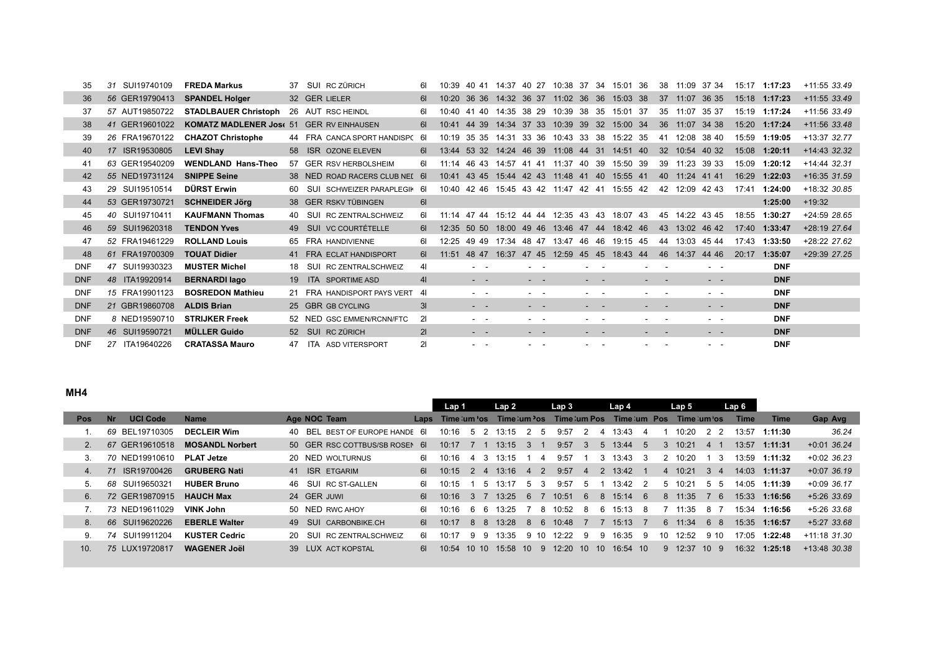| 35         | SUI19740109<br>31 | <b>FREDA Markus</b>                      | 37. | SUI RC ZÜRICH                  | 6I             | 10.39             | 40.41                                                                                                        |             |                                                                                                | 14:37 40 27 10:38 37 34 15:01 36 |                                                                                                                           |                      |        | 38     |                | 11:09 37 34                                                                                    |       | 15:17 1:17:23 | $+11:55$ 33.49 |
|------------|-------------------|------------------------------------------|-----|--------------------------------|----------------|-------------------|--------------------------------------------------------------------------------------------------------------|-------------|------------------------------------------------------------------------------------------------|----------------------------------|---------------------------------------------------------------------------------------------------------------------------|----------------------|--------|--------|----------------|------------------------------------------------------------------------------------------------|-------|---------------|----------------|
| 36         | 56 GER19790413    | <b>SPANDEL Holger</b>                    |     | 32 GER LIELER                  | 61             | 10:20             | 36 36 14:32 36 37 11:02 36 36 15:03 38                                                                       |             |                                                                                                |                                  |                                                                                                                           |                      |        |        |                | 37 11:07 36 35                                                                                 |       | 15:18 1:17:23 | $+11:55$ 33.49 |
| 37         | 57 AUT19850722    | <b>STADLBAUER Christoph</b>              |     | 26 AUT RSC HEINDL              | 61             | 10 <sup>-40</sup> | 40<br>41                                                                                                     | 14:35 38 29 |                                                                                                |                                  |                                                                                                                           | 10:39 38 35 15:01 37 |        |        | 35 11:07       | 35 37                                                                                          |       | 15:19 1:17:24 | $+11:56$ 33.49 |
| 38         | 41 GER19601022    | KOMATZ MADLENER Jose 51 GER RV EINHAUSEN |     |                                | 61             | 10:41             | 44 39                                                                                                        |             |                                                                                                | 14:34 37 33 10:39 39 32 15:00 34 |                                                                                                                           |                      |        |        |                | 36 11:07 34 38                                                                                 |       | 15:20 1:17:24 | $+11:56$ 33.48 |
| 39         | 26 FRA19670122    | <b>CHAZOT Christophe</b>                 |     | 44 FRA CANCA SPORT HANDISPC 61 |                |                   | 10:19 35 35 14:31 33 36 10:43 33 38 15:22 35                                                                 |             |                                                                                                |                                  |                                                                                                                           |                      |        |        |                | 41 12:08 38 40                                                                                 | 15:59 | 1:19:05       | +13:37 32.77   |
| 40         | 17 ISR19530805    | <b>LEVI Shay</b>                         |     | 58 ISR OZONE ELEVEN            | 61.            |                   | 13:44 53 32 14:24 46 39 11:08 44 31 14:51 40                                                                 |             |                                                                                                |                                  |                                                                                                                           |                      |        |        |                | 32 10:54 40 32                                                                                 | 15:08 | 1:20:11       | $+14:43$ 32.32 |
| 41         | 63 GER19540209    | <b>WENDLAND Hans-Theo</b>                |     | 57 GER RSV HERBOLSHEIM         | 61             |                   | 11:14 46 43 14:57 41 41                                                                                      |             |                                                                                                |                                  |                                                                                                                           | 11:37 40 39 15:50 39 |        |        | 39 11:23       | 39 33                                                                                          | 15:09 | 1:20:12       | $+14:44$ 32.31 |
| 42         | 55 NED19731124    | <b>SNIPPE Seine</b>                      |     | 38 NED ROAD RACERS CLUB NEL 6  |                |                   | 10:41 43 45 15:44 42 43 11:48 41                                                                             |             |                                                                                                |                                  |                                                                                                                           | 40 15:55 41          |        |        | 40 11:24 41 41 |                                                                                                | 16:29 | 1:22:03       | $+16:35$ 31.59 |
| 43         | 29 SUI19510514    | <b>DÜRST Erwin</b>                       | 60  | SUI SCHWEIZER PARAPLEGIK 61    |                |                   | 10:40 42 46 15:45 43 42 11:47 42 41 15:55 42                                                                 |             |                                                                                                |                                  |                                                                                                                           |                      |        |        |                | 42 12:09 42 43                                                                                 | 17:41 | 1:24:00       | +18:32 30.85   |
| 44         | 53 GER19730721    | <b>SCHNEIDER Jörg</b>                    |     | 38 GER RSKV TÜBINGEN           | 61             |                   |                                                                                                              |             |                                                                                                |                                  |                                                                                                                           |                      |        |        |                |                                                                                                |       | 1:25:00       | $+19:32$       |
| 45         | 40 SUI19710411    | <b>KAUFMANN Thomas</b>                   |     | 40 SUI RC ZENTRALSCHWEIZ       | 61             |                   | 11:14 47 44 15:12 44 44 12:35 43 43 18:07 43                                                                 |             |                                                                                                |                                  |                                                                                                                           |                      |        |        |                | 45 14:22 43 45                                                                                 | 18:55 | 1:30:27       | +24:59 28.65   |
| 46         | 59 SUI19620318    | <b>TENDON Yves</b>                       |     | 49 SUI VC COURTÉTELLE          | 6I             |                   | 12:35 50 50 18:00 49 46 13:46 47 44 18:42 46                                                                 |             |                                                                                                |                                  |                                                                                                                           |                      |        |        |                | 43 13:02 46 42                                                                                 |       | 17:40 1:33:47 | +28:19 27.64   |
| 47         | 52 FRA19461229    | <b>ROLLAND Louis</b>                     |     | 65 FRA HANDIVIENNE             | 6I             | 12.25             | 49.49                                                                                                        |             |                                                                                                | 17:34 48 47 13:47 46 46 19:15 45 |                                                                                                                           |                      |        | 44     | 13:03 45 44    |                                                                                                | 17:43 | 1:33:50       | +28:22 27.62   |
| 48         | 61 FRA19700309    | <b>TOUAT Didier</b>                      |     | 41 FRA ECLAT HANDISPORT        | 61             | 11:51             | 48 47                                                                                                        |             |                                                                                                | 16:37 47 45 12:59 45 45 18:43 44 |                                                                                                                           |                      |        |        | 46 14:37       | 44 46                                                                                          | 20:17 | 1:35:07       | +29:39 27.25   |
| <b>DNF</b> | 47 SUI19930323    | <b>MUSTER Michel</b>                     | 18  | SUI RC ZENTRALSCHWEIZ          | 41             |                   | $\sim$ $\sim$                                                                                                |             |                                                                                                |                                  | $\sim$                                                                                                                    |                      |        |        |                | $\sim$ $\sim$                                                                                  |       | <b>DNF</b>    |                |
| <b>DNF</b> | 48 ITA19920914    | <b>BERNARDI lago</b>                     |     | 19 ITA SPORTIME ASD            | 4 <sup>1</sup> |                   | $ -$                                                                                                         |             | $\frac{1}{2} \left( \frac{1}{2} \right) \left( \frac{1}{2} \right) \left( \frac{1}{2} \right)$ |                                  | - -                                                                                                                       |                      |        |        |                | $\frac{1}{2} \left( \frac{1}{2} \right) \left( \frac{1}{2} \right) \left( \frac{1}{2} \right)$ |       | <b>DNF</b>    |                |
| <b>DNF</b> | 15 FRA19901123    | <b>BOSREDON Mathieu</b>                  |     | 21 FRA HANDISPORT PAYS VERT    | 41             |                   | $\sim$ 100 $\sim$                                                                                            |             | $\sim$ $ \sim$                                                                                 |                                  | $\frac{1}{2} \left( \frac{1}{2} \right) \left( \frac{1}{2} \right) \left( \frac{1}{2} \right) \left( \frac{1}{2} \right)$ |                      | $\sim$ | $\sim$ |                | $ -$                                                                                           |       | <b>DNF</b>    |                |
| <b>DNF</b> | 21 GBR19860708    | <b>ALDIS Brian</b>                       |     | 25 GBR GB CYCLING              | 3I             |                   | $\frac{1}{2} \left( \frac{1}{2} \right) \left( \frac{1}{2} \right) = \frac{1}{2} \left( \frac{1}{2} \right)$ |             | $\frac{1}{2} \left( \frac{1}{2} \right) \left( \frac{1}{2} \right) \left( \frac{1}{2} \right)$ |                                  | $\sim$ 100 $\sim$ 100 $\sim$                                                                                              |                      |        |        |                | $\frac{1}{2} \left( \frac{1}{2} \right) \left( \frac{1}{2} \right) \left( \frac{1}{2} \right)$ |       | <b>DNF</b>    |                |
| <b>DNF</b> | 8 NED19590710     | <b>STRIJKER Freek</b>                    |     | 52 NED GSC EMMEN/RCNN/FTC      | 21             |                   | $ -$                                                                                                         |             | - -                                                                                            |                                  | $ -$                                                                                                                      |                      |        |        |                | $\sim$ 10 $\sim$                                                                               |       | <b>DNF</b>    |                |
| <b>DNF</b> | 46 SUI19590721    | <b>MÜLLER Guido</b>                      | 52  | SUI RC ZÜRICH                  | 21             |                   | - -                                                                                                          |             | - -                                                                                            |                                  | $\sim$                                                                                                                    |                      |        |        |                | - -                                                                                            |       | <b>DNF</b>    |                |
| <b>DNF</b> | 27 ITA19640226    | <b>CRATASSA Mauro</b>                    |     | 47 ITA ASD VITERSPORT          | 21             |                   | $ -$                                                                                                         |             | $\sim$ 100 $\sim$                                                                              |                                  | - -                                                                                                                       |                      |        |        |                | $ -$                                                                                           |       | <b>DNF</b>    |                |

### **MH4**

|                 |                              |                        |                                       |             | Lap 1           |                    | Lap 2       |                |                | Lap 3       |                 | Lap <sub>4</sub> |             |    | Lap 5           |               | Lap 6       |         |                |
|-----------------|------------------------------|------------------------|---------------------------------------|-------------|-----------------|--------------------|-------------|----------------|----------------|-------------|-----------------|------------------|-------------|----|-----------------|---------------|-------------|---------|----------------|
| <b>Pos</b>      | <b>UCI Code</b><br><b>Nr</b> | <b>Name</b>            | Age NOC Team                          |             | Laps Time:um'os |                    | Time um 'os |                |                | Time um Pos |                 |                  | Time um Pos |    | Time um os      |               | <b>Time</b> | Time    | Gap Avg        |
|                 | BEL19710305<br>69            | <b>DECLEIR Wim</b>     | BEL BEST OF EUROPE HANDE<br>40.       | -61         | 10.16           | .5                 | 13.15       |                | $\mathbf{b}$   | 9.57        |                 | 13:43            |             |    | 10:20           | $\mathcal{P}$ | 13:57       | 1:11:30 | 36.24          |
|                 | 67 GER19610518               | <b>MOSANDL Norbert</b> | 50 GER RSC COTTBUS/SB ROSEN           | -61         | 10:17           |                    | 13:15       | 3              |                | 9:57        | 3               | $5 \quad 13:44$  | -5          | 3  | 10:21           | $-4$          | 13:57       | 1:11:31 | $+0:01$ 36.24  |
| 3.              | 70 NED19910610               | <b>PLAT Jetze</b>      | 20 NED WOLTURNUS                      | 61.         | 10:16           | -3<br>4            | 13:15       |                | 4              | 9:57        |                 | 13:43<br>3       | -3          |    | 10:20           | - 3           | 13:59       | 1:11:32 | $+0.02$ 36.23  |
| 4.              | ISR19700426<br>71            | <b>GRUBERG Nati</b>    | 41 ISR ETGARIM                        | 61          | 10:15           | $\mathcal{P}$<br>4 | 13:16       | $\overline{4}$ | $\overline{2}$ | 9:57        | 4               | 2 13:42 1        |             |    | 4 10:21         | 3 4           | 14:03       | 1:11:37 | $+0.07, 36.19$ |
|                 | SUI19650321<br>68.           | <b>HUBER Bruno</b>     | SUI RC ST-GALLEN<br>46.               | 61          | 10:15           | -5                 | 13:17       | 5              | 3              | 9:57        | 5               | 13:42            | - 2         | 5  | 10:21           | 55            | 14:05       | 1:11:39 | $+0:09$ 36.17  |
| 6.              | 72 GER19870915               | <b>HAUCH Max</b>       | 24 GER JUWI                           | 61          | 10:16           | 3.7                | 13:25       | - 6            |                | 10:51       | 6               | 8                | $15:14$ 6   | 8  | 11:35           | - 6           | 15:33       | 1:16:56 | $+5:26$ 33.69  |
|                 | 73 NED19611029               | VINK John              | 50 NED RWC AHOY                       | 61          | 10:16           | - 6<br>6           | 13:25       |                | 8              | 10:52       | -8              | 15:13<br>6       | - 8         |    | 11:35           | -8            | 15:34       | 1:16:56 | +5:26 33.68    |
| 8.              | 66 SUI19620226               | <b>EBERLE Walter</b>   | 49 SUI CARBONBIKE.CH                  | 61 <b>G</b> | 10:17           | 88                 | 13:28       | - 8            |                | 6 10:48     | 77              | 15:13            | - 7         |    | 6 11:34         | 68            | 15:35       | 1:16:57 | $+5:27$ 33.68  |
| 9.              | 74 SUI19911204               | <b>KUSTER Cedric</b>   | RC ZENTRALSCHWEIZ<br>SUI<br><b>20</b> | 61          | 10:17           | -9<br>9            | 13:35       | 9 10           |                | 12:22       | 9               | 16:35<br>9       | <b>q</b>    | 10 | 12:52           | 9 10          | 17:05       | 1:22:48 | $+11:18$ 31.30 |
| 10 <sub>1</sub> | 75 LUX19720817               | <b>WAGENER Joël</b>    | 39 LUX ACT KOPSTAL                    | 61          | 10.54           | 10, 10             | 15:58       | $10^{-}$       | 9              | 12.20       | 10 <sup>1</sup> | -10              | 16:54 10    |    | $9 \quad 12:37$ | $10 \quad 9$  | 16:32       | 1:25:18 | $+13:48$ 30.38 |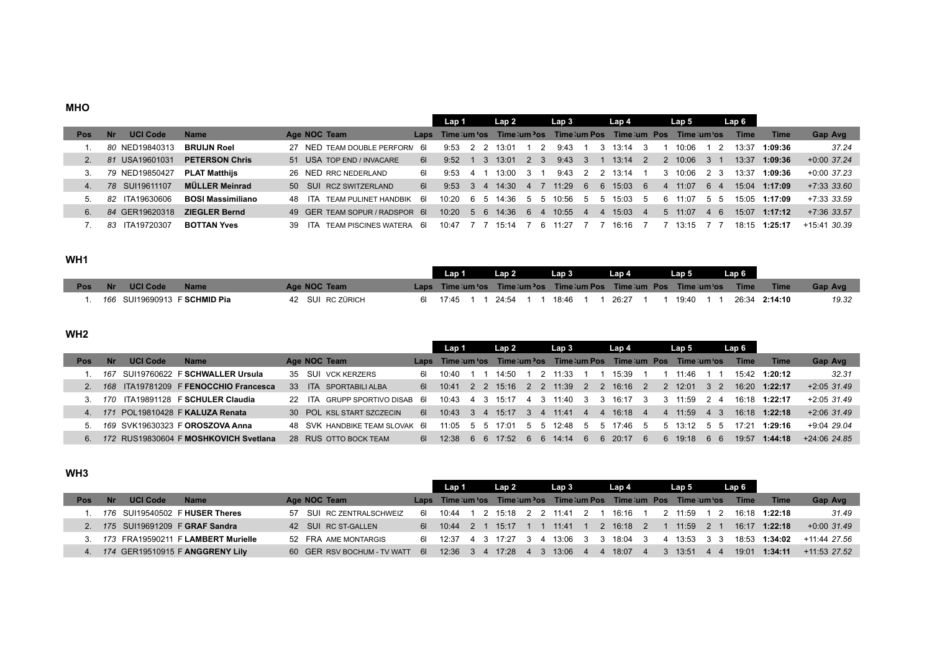#### **MHO**

|     |           |                 |                          |                                      |             | Lap 1           |    |              | Lap 2       |                                           | Lap 3                   |              |                | Lap 4       |    |                | Lap 5           |          | Lap 6       |                 |                |
|-----|-----------|-----------------|--------------------------|--------------------------------------|-------------|-----------------|----|--------------|-------------|-------------------------------------------|-------------------------|--------------|----------------|-------------|----|----------------|-----------------|----------|-------------|-----------------|----------------|
| Pos | <b>Nr</b> | <b>UCI Code</b> | <b>Name</b>              | Age NOC Team                         |             | Laps Time:um'os |    |              |             |                                           | Time um 'os Time um Pos |              |                | Time um Pos |    |                | Time um os      |          | <b>Time</b> | Time            | Gap Avg        |
|     |           | 80 NED19840313  | <b>BRUIJN Roel</b>       | 27 NED TEAM DOUBLE PERFORM           | - 61        | 9.53            | 22 |              | 13:01       |                                           | 9:43                    |              |                | 13:14       | -3 |                | 10:06           |          | 13:37       | 1:09:36         | 37.24          |
|     |           | 81 USA19601031  | <b>PETERSON Chris</b>    | 51 USA TOP END / INVACARE            | 61          | 9.52            |    | $\mathbf{3}$ | 13:01       | $\begin{array}{ccc} 2 & 3 \\ \end{array}$ | 9:43                    | $\mathbf{3}$ |                | $13:14$ 2   |    |                | $2 \quad 10:06$ | $-3$ $+$ | 13:37       | 1:09:36         | $+0:00$ 37.24  |
|     |           | 79 NED19850427  | <b>PLAT Matthijs</b>     | 26 NED RRC NEDERLAND                 | 61          | 9:53            | 41 |              | 13:00       | - 3 - 1                                   | 9:43                    | 2 2          |                | 13:14       |    |                | 10:06           | 2 3      | 13:37       | 1:09:36         | $+0:00$ 37.23  |
|     |           | 78 SUI19611107  | MÜLLER Meinrad           | 50 SUI RCZ SWITZERLAND               | 61 <b>G</b> | 9:53            | 34 |              | $14:30$ 4 7 |                                           | 11:29                   | 6            |                | 6 15:03 6   |    | $\overline{4}$ | 11:07           | 64       | 15:04       | 1:17:09         | $+7:33$ 33.60  |
|     | 82.       | ITA19630606     | <b>BOSI Massimiliano</b> | TFAM PULINET HANDRIK<br>48.<br>ITA   | - 61        | 10.20           | 65 |              | 14:36       | 55                                        | 10:56                   | 5            | .5             | 15:03       | -5 | 6              | 11:07           | 55       |             | $15:05$ 1:17:09 | $+7:33$ 33.59  |
| 6.  | 84        | GER19620318     | <b>ZIEGLER Bernd</b>     | 49 GER TEAM SOPUR / RADSPOR 6        |             | 10:20           | 56 |              | $14:36$ 6 4 |                                           | 10:55                   | 4            | $\overline{4}$ | $15:03$ 4   |    |                | $5 \quad 11:07$ | 4 6      | 15:07       | 1:17:12         | $+7:36$ 33.57  |
|     | 83.       | ITA19720307     | <b>BOTTAN Yves</b>       | TEAM PISCINES WATERA 6<br>ITA.<br>39 |             | 10:47           |    |              | 15:14       |                                           |                         |              |                | 16:16       |    |                | 13:15           |          | 18.15       | 1:25:17         | $+15:41$ 30.39 |

### **WH1**

|            |                |                 |                              |                  | Lap 1       | Lap 2 | Lap 3     | Lap 4 .                                                            | Lan 5     |               |         |
|------------|----------------|-----------------|------------------------------|------------------|-------------|-------|-----------|--------------------------------------------------------------------|-----------|---------------|---------|
| <b>Pos</b> | $\blacksquare$ | <b>UCI Code</b> | <b>Name</b>                  | Age NOC Team     |             |       |           | Laps Time:um os Time:um os Time:um Pos Time:um Pos Time:um os Time |           | Time          | Gap Avg |
|            |                |                 | 166 SUI19690913 F SCHMID Pia | 42 SUI RC ZÜRICH | 6 17:45 1 1 | 24:54 | 18:46 1 1 | 26:27 1                                                            | 19:40 1 1 | 26:34 2:14:10 | 19.32   |

### **WH2**

|     |     |                 |                                       |                               |             | Lap 1           |     |       | Lap 2                   |         | Lap 3                     |              | Lap 4                       |                | Lap 5                   |            | Lap 6 |                 |                |
|-----|-----|-----------------|---------------------------------------|-------------------------------|-------------|-----------------|-----|-------|-------------------------|---------|---------------------------|--------------|-----------------------------|----------------|-------------------------|------------|-------|-----------------|----------------|
| Pos |     | <b>UCI Code</b> | <b>Name</b>                           | Age NOC Team                  |             | Laps Time:um os |     |       | Time um <sup>y</sup> os |         | Time um Pos               |              | Time um Pos                 |                |                         | Time um os | Time  | <b>Time</b>     | Gap Avg        |
|     | 167 |                 | SUI19760622 F SCHWALLER Ursula        | SUI VCK KERZERS<br>35         | 61.         | 10:40           |     | 14:50 |                         |         | 11.33                     |              | 15:39                       |                | 11:46                   |            | 15.42 | 1:20:12         | 32.31          |
|     |     |                 | 168 ITA19781209 F FENOCCHIO Francesca | ITA SPORTABILI ALBA<br>33     | 61 L        |                 |     |       |                         |         | 10:41 2 2 15:16 2 2 11:39 |              | 2 2 16:16<br>$\overline{2}$ |                | 2 12:01                 | 32         | 16:20 | 1:22:17         | $+2:05$ 31.49  |
|     | 170 |                 | ITA19891128 F SCHULER Claudia         | 22 ITA GRUPP SPORTIVO DISAB 6 |             | 10:43           | 4 3 |       |                         |         | 15:17 4 3 11:40           | 33           | 16:17                       |                | 11:59                   | 24         |       | $16.18$ 1:22:17 | $+2:05$ 31.49  |
|     |     |                 | 171 POL19810428 F KALUZA Renata       | 30 POL KSL START SZCZECIN     | 61 <b>G</b> |                 |     |       |                         |         | 10:43 3 4 15:17 3 4 11:41 |              | 16:18                       | $\overline{4}$ | 11:59<br>$\overline{4}$ | 4 3        |       | $16.18$ 1:22:18 | $+2:06$ 31.49  |
|     |     |                 | 169 SVK19630323 F OROSZOVA Anna       | 48 SVK HANDBIKE TEAM SLOVAK 6 |             | 11.05           | 55  | 17:01 |                         |         | 5 5 12:48                 | 5            | 5 17:46                     | - 5            | $5 \quad 13:12$         | 55         | 17.21 | 1:29:16         | $+9:04$ 29.04  |
| 6.  |     |                 | 172 RUS19830604 F MOSHKOVICH Svetlana | 28 RUS OTTO BOCK TEAM         | 61 I        | 12.38           | 6   | - 6   | 17.52                   | -6<br>6 | 14:14                     | $\mathbf{h}$ | 20:17                       | - 6            | 6 19:18                 | 66         | 19.57 | 1:44:18         | $+24:06$ 24.85 |

### **WH3**

|     |           |                 |                                      |                                | Lap 1                 |  | Lap 2     |                | Lap 3                     |  | Lap 4                                                                 |   | Lap 5       |  | Lap 6       |               |                              |
|-----|-----------|-----------------|--------------------------------------|--------------------------------|-----------------------|--|-----------|----------------|---------------------------|--|-----------------------------------------------------------------------|---|-------------|--|-------------|---------------|------------------------------|
| Pos | <b>Nr</b> | <b>UCI Code</b> | <b>Name</b>                          | Age NOC Team                   |                       |  |           |                |                           |  | Laps Time: um 'os Time: um 'os Time: um Pos Time: um Pos Time: um 'os |   |             |  | <b>Time</b> | <b>Time</b>   | Gap Avg                      |
|     |           |                 | 176 SUI19540502 F HUSER Theres       | 57 SUI RC ZENTRALSCHWEIZ       | 61 10:44              |  |           |                | . 1 2 15:18 2 2 11:41 2 1 |  | 16:16 1                                                               |   | 2 11:59 1 2 |  |             | 16:18 1:22:18 | 31.49                        |
|     |           |                 | 2. 175 SUI19691209 F GRAF Sandra     | 42 SUI RC ST-GALLEN            | 6 10:44 2 1           |  | $15:17$ 1 | $\blacksquare$ | 11:41                     |  | 1 2 16:18 2 1                                                         |   | $11:59$ 2 1 |  |             | 16:17 1:22:18 | $+0.0031.49$                 |
|     |           |                 | 3. 173 FRA19590211 FLAMBERT Murielle | 52 FRA AME MONTARGIS           | 6 12.37 4 3 17.27 3 4 |  |           |                |                           |  | 13:06 3 3 18:04 3                                                     | 4 | 13:53 3 3   |  |             |               | $18:53$ 1:34:02 +11:44 27.56 |
|     |           |                 | 174 GER19510915 F ANGGRENY Lily      | 60 GER RSV BOCHUM - TV WATT 6I |                       |  |           |                |                           |  | 12:36    3    4    17:28    4    3    13:06    4    4    18:07    4   |   | 3 13:51 4 4 |  | 19:01       | 1:34:11       | $+11.53$ 27.52               |